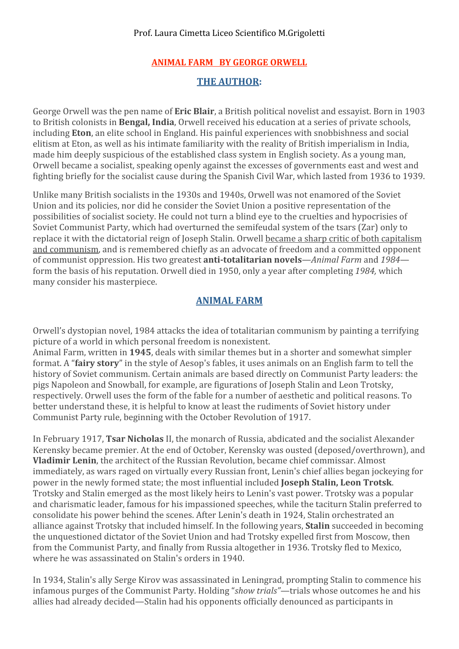### **ANIMAL
FARM

BY
GEORGE
ORWELL**

### **THE
AUTHOR:**

George Orwell was the pen name of **Eric Blair**, a British political novelist and essayist. Born in 1903 to British colonists in **Bengal, India**, Orwell received his education at a series of private schools, including **Eton**, an elite school in England. His painful experiences with snobbishness and social elitism at Eton, as well as his intimate familiarity with the reality of British imperialism in India, made him deeply suspicious of the established class system in English society. As a young man, Orwell became a socialist, speaking openly against the excesses of governments east and west and fighting briefly for the socialist cause during the Spanish Civil War, which lasted from 1936 to 1939.

Unlike many British socialists in the 1930s and 1940s, Orwell was not enamored of the Soviet Union and its policies, nor did he consider the Soviet Union a positive representation of the possibilities
of
socialist
society.
He
could
not
turn
a
blind
eye
to
the
cruelties
and
hypocrisies
of Soviet Communist Party, which had overturned the semifeudal system of the tsars (Zar) only to replace it with the dictatorial reign of Joseph Stalin. Orwell became a sharp critic of both capitalism and communism, and is remembered chiefly as an advocate of freedom and a committed opponent of communist oppression. His two greatest **anti-totalitarian novels**—*Animal Farm* and 1984 form
the
basis
of
his
reputation.
Orwell
died
in
1950,
only
a
year
after
completing *1984,*which many
consider
his
masterpiece.

# **ANIMAL
FARM**

Orwell's dystopian novel, 1984 attacks the idea of totalitarian communism by painting a terrifying picture
of
a
world
in
which
personal
freedom
is
nonexistent.

Animal Farm, written in 1945, deals with similar themes but in a shorter and somewhat simpler format. A "**fairy story**" in the style of Aesop's fables, it uses animals on an English farm to tell the history of Soviet communism. Certain animals are based directly on Communist Party leaders: the pigs
Napoleon
and
Snowball,
for
example,
are
figurations
of
Joseph
Stalin
and
Leon
Trotsky, respectively.
Orwell
uses
the
form
of
the
fable
for
a
number
of
aesthetic
and
political
reasons.
To better understand these, it is helpful to know at least the rudiments of Soviet history under Communist
Party
rule,
beginning
with
the
October
Revolution
of
1917.

In
February
1917, **Tsar
Nicholas**II,
the
monarch
of
Russia,
abdicated
and
the
socialist
Alexander Kerensky
became
premier.
At
the
end
of
October,
Kerensky
was
ousted
(deposed/overthrown),
and **Vladimir Lenin**, the architect of the Russian Revolution, became chief commissar. Almost immediately,
as
wars
raged
on
virtually
every
Russian
front,
Lenin's
chief
allies
began
jockeying
for power in the newly formed state; the most influential included **Joseph Stalin, Leon Trotsk**. Trotsky
and
Stalin
emerged
as
the
most
likely
heirs
to
Lenin's
vast
power.
Trotsky
was
a
popular and
charismatic
leader,
famous
for
his
impassioned
speeches,
while
the
taciturn
Stalin
preferred
to consolidate
his
power
behind
the
scenes.
After
Lenin's
death
in
1924,
Stalin
orchestrated
an alliance
against
Trotsky
that
included
himself.
In
the
following
years, **Stalin**succeeded
in
becoming the
unquestioned
dictator
of
the
Soviet
Union
and
had
Trotsky
expelled
first
from
Moscow,
then from
the
Communist
Party,
and
finally
from
Russia
altogether
in
1936.
Trotsky
fled
to
Mexico, where
he
was
assassinated
on
Stalin's
orders
in
1940.

In
1934,
Stalin's
ally
Serge
Kirov
was
assassinated
in
Leningrad,
prompting
Stalin
to
commence
his infamous
purges
of
the
Communist
Party.
Holding
"*show
trials"—*trials
whose
outcomes
he
and
his allies
had
already
decided—Stalin
had
his
opponents
officially
denounced
as
participants
in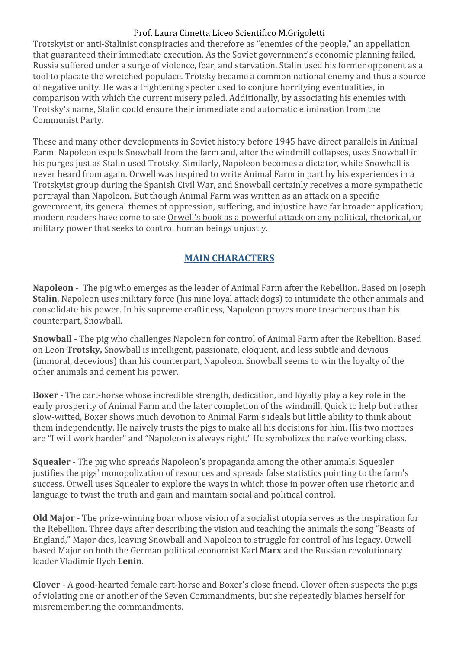Trotskyist
or
anti‐Stalinist
conspiracies
and
therefore
as
"enemies
of
the
people,"
an
appellation that
guaranteed
their
immediate
execution.
As
the
Soviet
government's
economic
planning
failed, Russia suffered under a surge of violence, fear, and starvation. Stalin used his former opponent as a tool to placate the wretched populace. Trotsky became a common national enemy and thus a source of
negative
unity.
He
was
a
frightening
specter
used
to
conjure
horrifying
eventualities,
in comparison
with
which
the
current
misery
paled.
Additionally,
by
associating
his
enemies
with Trotsky's
name,
Stalin
could
ensure
their
immediate
and
automatic
elimination
from
the Communist
Party.

These
and
many
other
developments
in
Soviet
history
before
1945
have
direct
parallels
in
Animal Farm: Napoleon expels Snowball from the farm and, after the windmill collapses, uses Snowball in his purges just as Stalin used Trotsky. Similarly, Napoleon becomes a dictator, while Snowball is never heard from again. Orwell was inspired to write Animal Farm in part by his experiences in a Trotskyist
group
during
the
Spanish
Civil
War,
and
Snowball
certainly
receives
a
more
sympathetic portrayal
than
Napoleon.
But
though
Animal
Farm
was
written
as
an
attack
on
a
specific government,
its
general
themes
of
oppression,
suffering,
and
injustice
have
far
broader
application; modern
readers
have
come
to
see
Orwell's
book
as
a
powerful
attack
on
any
political,
rhetorical,
or military
power
that
seeks
to
control
human
beings
unjustly.

# **MAIN
CHARACTERS**

Napoleon - The pig who emerges as the leader of Animal Farm after the Rebellion. Based on Joseph **Stalin**, Napoleon uses military force (his nine loyal attack dogs) to intimidate the other animals and consolidate
his
power.
In
his
supreme
craftiness,
Napoleon
proves
more
treacherous
than
his counterpart,
Snowball.

**Snowball** - The pig who challenges Napoleon for control of Animal Farm after the Rebellion. Based on Leon Trotsky, Snowball is intelligent, passionate, eloquent, and less subtle and devious (immoral,
decevious)
than
his
counterpart,
Napoleon.
Snowball
seems
to
win
the
loyalty
of
the other
animals
and
cement
his
power.

**Boxer** - The cart-horse whose incredible strength, dedication, and loyalty play a key role in the early prosperity of Animal Farm and the later completion of the windmill. Quick to help but rather slow-witted, Boxer shows much devotion to Animal Farm's ideals but little ability to think about them independently. He naively trusts the pigs to make all his decisions for him. His two mottoes are
"I
will
work
harder"
and
"Napoleon
is
always
right."
He
symbolizes
the
naïve
working
class.

**Squealer** - The pig who spreads Napoleon's propaganda among the other animals. Squealer justifies the pigs' monopolization of resources and spreads false statistics pointing to the farm's success. Orwell uses Squealer to explore the ways in which those in power often use rhetoric and language to twist the truth and gain and maintain social and political control.

Old Major - The prize-winning boar whose vision of a socialist utopia serves as the inspiration for the Rebellion. Three days after describing the vision and teaching the animals the song "Beasts of England,"
Major
dies,
leaving
Snowball
and
Napoleon
to
struggle
for
control
of
his
legacy.
Orwell based
Major
on
both
the
German
political
economist
Karl **Marx**and
the
Russian
revolutionary leader
Vladimir
Ilych **Lenin**.

Clover - A good-hearted female cart-horse and Boxer's close friend. Clover often suspects the pigs of
violating
one
or
another
of
the
Seven
Commandments,
but
she
repeatedly
blames
herself
for misremembering
the
commandments.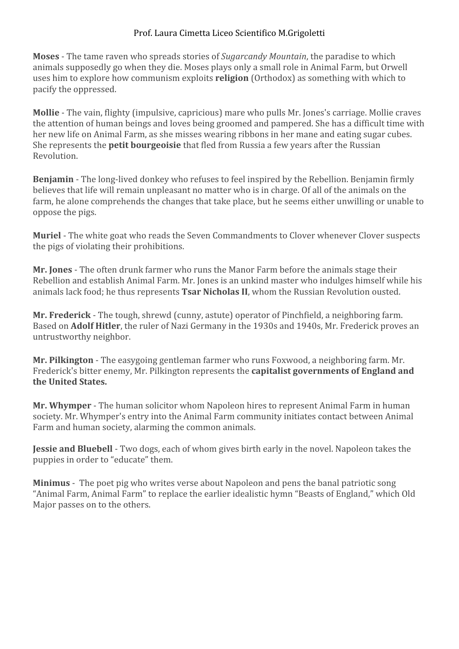Moses - The tame raven who spreads stories of Sugarcandy Mountain, the paradise to which animals
supposedly
go
when
they
die.
Moses
plays
only
a
small
role
in
Animal
Farm,
but
Orwell uses him to explore how communism exploits **religion** (Orthodox) as something with which to pacify
the
oppressed.

Mollie - The vain, flighty (impulsive, capricious) mare who pulls Mr. Jones's carriage. Mollie craves the
attention
of
human
beings
and
loves
being
groomed
and
pampered.
She
has
a
difficult
time
with her new life on Animal Farm, as she misses wearing ribbons in her mane and eating sugar cubes. She represents the **petit bourgeoisie** that fled from Russia a few years after the Russian Revolution.

Benjamin - The long-lived donkey who refuses to feel inspired by the Rebellion. Benjamin firmly believes that life will remain unpleasant no matter who is in charge. Of all of the animals on the farm, he alone comprehends the changes that take place, but he seems either unwilling or unable to oppose
the
pigs.

**Muriel** - The white goat who reads the Seven Commandments to Clover whenever Clover suspects the
pigs
of
violating
their
prohibitions.

**Mr. Jones** - The often drunk farmer who runs the Manor Farm before the animals stage their Rebellion
and
establish
Animal
Farm.
Mr.
Jones
is
an
unkind
master
who
indulges
himself
while
his animals
lack
food;
he
thus
represents **Tsar
Nicholas
II**,
whom
the
Russian
Revolution
ousted.

Mr. Frederick - The tough, shrewd (cunny, astute) operator of Pinchfield, a neighboring farm. Based on **Adolf Hitler**, the ruler of Nazi Germany in the 1930s and 1940s, Mr. Frederick proves an untrustworthy
neighbor.

Mr. Pilkington - The easygoing gentleman farmer who runs Foxwood, a neighboring farm. Mr. Frederick's bitter enemy, Mr. Pilkington represents the **capitalist governments of England and the
United
States.**

Mr. Whymper - The human solicitor whom Napoleon hires to represent Animal Farm in human society. Mr. Whymper's entry into the Animal Farm community initiates contact between Animal Farm
and
human
society,
alarming
the
common
animals.

**Jessie and Bluebell** - Two dogs, each of whom gives birth early in the novel. Napoleon takes the puppies
in
order
to
"educate"
them.

Minimus - The poet pig who writes verse about Napoleon and pens the banal patriotic song "Animal Farm, Animal Farm" to replace the earlier idealistic hymn "Beasts of England," which Old Major passes on to the others.